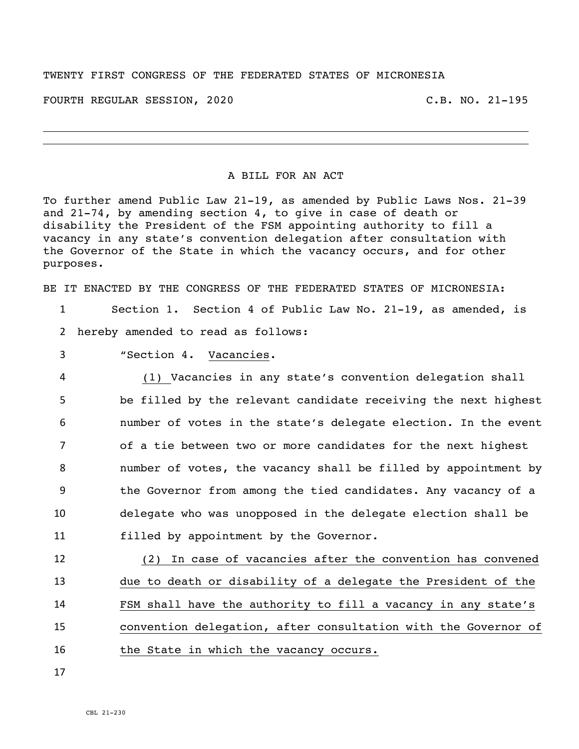## TWENTY FIRST CONGRESS OF THE FEDERATED STATES OF MICRONESIA

FOURTH REGULAR SESSION, 2020 C.B. NO. 21-195

## A BILL FOR AN ACT

To further amend Public Law 21-19, as amended by Public Laws Nos. 21-39 and 21-74, by amending section 4, to give in case of death or disability the President of the FSM appointing authority to fill a vacancy in any state's convention delegation after consultation with the Governor of the State in which the vacancy occurs, and for other purposes.

BE IT ENACTED BY THE CONGRESS OF THE FEDERATED STATES OF MICRONESIA:

1 Section 1. Section 4 of Public Law No. 21-19, as amended, is 2 hereby amended to read as follows:

3 "Section 4. Vacancies.

 (1) Vacancies in any state's convention delegation shall be filled by the relevant candidate receiving the next highest number of votes in the state's delegate election. In the event of a tie between two or more candidates for the next highest number of votes, the vacancy shall be filled by appointment by the Governor from among the tied candidates. Any vacancy of a delegate who was unopposed in the delegate election shall be filled by appointment by the Governor.

 (2) In case of vacancies after the convention has convened due to death or disability of a delegate the President of the FSM shall have the authority to fill a vacancy in any state's convention delegation, after consultation with the Governor of 16 the State in which the vacancy occurs.

17